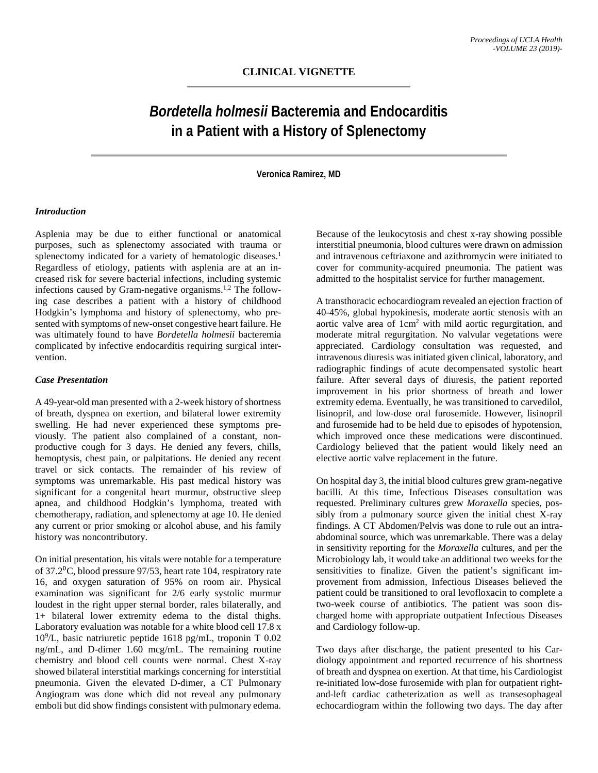# *Bordetella holmesii* **Bacteremia and Endocarditis in a Patient with a History of Splenectomy**

**Veronica Ramirez, MD**

#### *Introduction*

Asplenia may be due to either functional or anatomical purposes, such as splenectomy associated with trauma or splenectomy indicated for a variety of hematologic diseases.<sup>1</sup> Regardless of etiology, patients with asplenia are at an increased risk for severe bacterial infections, including systemic infections caused by Gram-negative organisms.1,2 The following case describes a patient with a history of childhood Hodgkin's lymphoma and history of splenectomy, who presented with symptoms of new-onset congestive heart failure. He was ultimately found to have *Bordetella holmesii* bacteremia complicated by infective endocarditis requiring surgical intervention.

#### *Case Presentation*

A 49-year-old man presented with a 2-week history of shortness of breath, dyspnea on exertion, and bilateral lower extremity swelling. He had never experienced these symptoms previously. The patient also complained of a constant, nonproductive cough for 3 days. He denied any fevers, chills, hemoptysis, chest pain, or palpitations. He denied any recent travel or sick contacts. The remainder of his review of symptoms was unremarkable. His past medical history was significant for a congenital heart murmur, obstructive sleep apnea, and childhood Hodgkin's lymphoma, treated with chemotherapy, radiation, and splenectomy at age 10. He denied any current or prior smoking or alcohol abuse, and his family history was noncontributory.

On initial presentation, his vitals were notable for a temperature of 37.2⁰C, blood pressure 97/53, heart rate 104, respiratory rate 16, and oxygen saturation of 95% on room air. Physical examination was significant for 2/6 early systolic murmur loudest in the right upper sternal border, rales bilaterally, and 1+ bilateral lower extremity edema to the distal thighs. Laboratory evaluation was notable for a white blood cell 17.8 x 109 /L, basic natriuretic peptide 1618 pg/mL, troponin T 0.02 ng/mL, and D-dimer 1.60 mcg/mL. The remaining routine chemistry and blood cell counts were normal. Chest X-ray showed bilateral interstitial markings concerning for interstitial pneumonia. Given the elevated D-dimer, a CT Pulmonary Angiogram was done which did not reveal any pulmonary emboli but did show findings consistent with pulmonary edema.

Because of the leukocytosis and chest x-ray showing possible interstitial pneumonia, blood cultures were drawn on admission and intravenous ceftriaxone and azithromycin were initiated to cover for community-acquired pneumonia. The patient was admitted to the hospitalist service for further management.

A transthoracic echocardiogram revealed an ejection fraction of 40-45%, global hypokinesis, moderate aortic stenosis with an aortic valve area of 1cm2 with mild aortic regurgitation, and moderate mitral regurgitation. No valvular vegetations were appreciated. Cardiology consultation was requested, and intravenous diuresis was initiated given clinical, laboratory, and radiographic findings of acute decompensated systolic heart failure. After several days of diuresis, the patient reported improvement in his prior shortness of breath and lower extremity edema. Eventually, he was transitioned to carvedilol, lisinopril, and low-dose oral furosemide. However, lisinopril and furosemide had to be held due to episodes of hypotension, which improved once these medications were discontinued. Cardiology believed that the patient would likely need an elective aortic valve replacement in the future.

On hospital day 3, the initial blood cultures grew gram-negative bacilli. At this time, Infectious Diseases consultation was requested. Preliminary cultures grew *Moraxella* species, possibly from a pulmonary source given the initial chest X-ray findings. A CT Abdomen/Pelvis was done to rule out an intraabdominal source, which was unremarkable. There was a delay in sensitivity reporting for the *Moraxella* cultures, and per the Microbiology lab, it would take an additional two weeks for the sensitivities to finalize. Given the patient's significant improvement from admission, Infectious Diseases believed the patient could be transitioned to oral levofloxacin to complete a two-week course of antibiotics. The patient was soon discharged home with appropriate outpatient Infectious Diseases and Cardiology follow-up.

Two days after discharge, the patient presented to his Cardiology appointment and reported recurrence of his shortness of breath and dyspnea on exertion. At that time, his Cardiologist re-initiated low-dose furosemide with plan for outpatient rightand-left cardiac catheterization as well as transesophageal echocardiogram within the following two days. The day after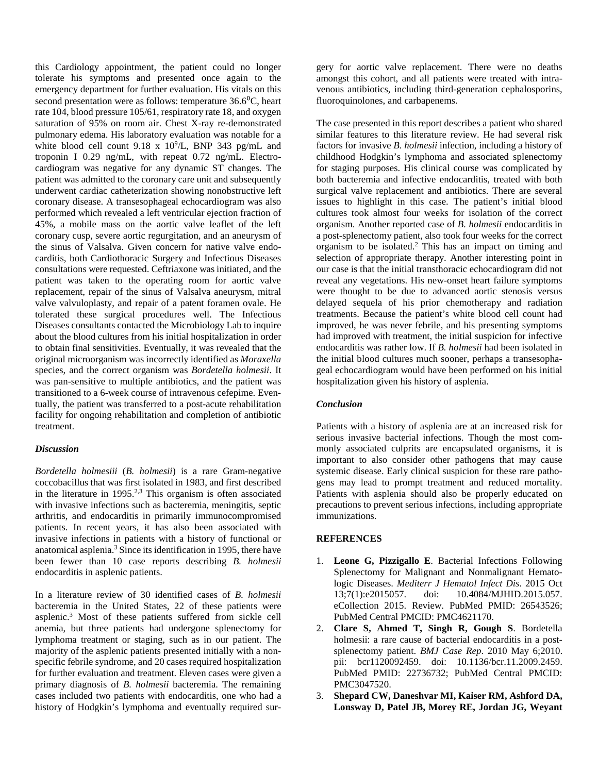this Cardiology appointment, the patient could no longer tolerate his symptoms and presented once again to the emergency department for further evaluation. His vitals on this second presentation were as follows: temperature  $36.6^{\circ}$ C, heart rate 104, blood pressure 105/61, respiratory rate 18, and oxygen saturation of 95% on room air. Chest X-ray re-demonstrated pulmonary edema. His laboratory evaluation was notable for a white blood cell count  $9.18 \times 10^9$ /L, BNP 343 pg/mL and troponin I 0.29 ng/mL, with repeat 0.72 ng/mL. Electrocardiogram was negative for any dynamic ST changes. The patient was admitted to the coronary care unit and subsequently underwent cardiac catheterization showing nonobstructive left coronary disease. A transesophageal echocardiogram was also performed which revealed a left ventricular ejection fraction of 45%, a mobile mass on the aortic valve leaflet of the left coronary cusp, severe aortic regurgitation, and an aneurysm of the sinus of Valsalva. Given concern for native valve endocarditis, both Cardiothoracic Surgery and Infectious Diseases consultations were requested. Ceftriaxone was initiated, and the patient was taken to the operating room for aortic valve replacement, repair of the sinus of Valsalva aneurysm, mitral valve valvuloplasty, and repair of a patent foramen ovale. He tolerated these surgical procedures well. The Infectious Diseases consultants contacted the Microbiology Lab to inquire about the blood cultures from his initial hospitalization in order to obtain final sensitivities. Eventually, it was revealed that the original microorganism was incorrectly identified as *Moraxella* species, and the correct organism was *Bordetella holmesii*. It was pan-sensitive to multiple antibiotics, and the patient was transitioned to a 6-week course of intravenous cefepime. Eventually, the patient was transferred to a post-acute rehabilitation facility for ongoing rehabilitation and completion of antibiotic treatment.

## *Discussion*

*Bordetella holmesiii* (*B. holmesii*) is a rare Gram-negative coccobacillus that was first isolated in 1983, and first described in the literature in  $1995<sup>2,3</sup>$  This organism is often associated with invasive infections such as bacteremia, meningitis, septic arthritis, and endocarditis in primarily immunocompromised patients. In recent years, it has also been associated with invasive infections in patients with a history of functional or anatomical asplenia.3 Since its identification in 1995, there have been fewer than 10 case reports describing *B. holmesii* endocarditis in asplenic patients.

In a literature review of 30 identified cases of *B. holmesii* bacteremia in the United States, 22 of these patients were asplenic.3 Most of these patients suffered from sickle cell anemia, but three patients had undergone splenectomy for lymphoma treatment or staging, such as in our patient. The majority of the asplenic patients presented initially with a nonspecific febrile syndrome, and 20 cases required hospitalization for further evaluation and treatment. Eleven cases were given a primary diagnosis of *B. holmesii* bacteremia. The remaining cases included two patients with endocarditis, one who had a history of Hodgkin's lymphoma and eventually required surgery for aortic valve replacement. There were no deaths amongst this cohort, and all patients were treated with intravenous antibiotics, including third-generation cephalosporins, fluoroquinolones, and carbapenems.

The case presented in this report describes a patient who shared similar features to this literature review. He had several risk factors for invasive *B. holmesii* infection, including a history of childhood Hodgkin's lymphoma and associated splenectomy for staging purposes. His clinical course was complicated by both bacteremia and infective endocarditis, treated with both surgical valve replacement and antibiotics. There are several issues to highlight in this case. The patient's initial blood cultures took almost four weeks for isolation of the correct organism. Another reported case of *B. holmesii* endocarditis in a post-splenectomy patient, also took four weeks for the correct organism to be isolated.<sup>2</sup> This has an impact on timing and selection of appropriate therapy. Another interesting point in our case is that the initial transthoracic echocardiogram did not reveal any vegetations. His new-onset heart failure symptoms were thought to be due to advanced aortic stenosis versus delayed sequela of his prior chemotherapy and radiation treatments. Because the patient's white blood cell count had improved, he was never febrile, and his presenting symptoms had improved with treatment, the initial suspicion for infective endocarditis was rather low. If *B. holmesii* had been isolated in the initial blood cultures much sooner, perhaps a transesophageal echocardiogram would have been performed on his initial hospitalization given his history of asplenia.

# *Conclusion*

Patients with a history of asplenia are at an increased risk for serious invasive bacterial infections. Though the most commonly associated culprits are encapsulated organisms, it is important to also consider other pathogens that may cause systemic disease. Early clinical suspicion for these rare pathogens may lead to prompt treatment and reduced mortality. Patients with asplenia should also be properly educated on precautions to prevent serious infections, including appropriate immunizations.

## **REFERENCES**

- 1. **Leone G, Pizzigallo E**. Bacterial Infections Following Splenectomy for Malignant and Nonmalignant Hematologic Diseases. *Mediterr J Hematol Infect Dis*. 2015 Oct 13;7(1):e2015057. doi: 10.4084/MJHID.2015.057. eCollection 2015. Review. PubMed PMID: 26543526; PubMed Central PMCID: PMC4621170.
- 2. **Clare S, Ahmed T, Singh R, Gough S**. Bordetella holmesii: a rare cause of bacterial endocarditis in a postsplenectomy patient. *BMJ Case Rep*. 2010 May 6;2010. pii: bcr1120092459. doi: 10.1136/bcr.11.2009.2459. PubMed PMID: 22736732; PubMed Central PMCID: PMC3047520.
- 3. **Shepard CW, Daneshvar MI, Kaiser RM, Ashford DA, Lonsway D, Patel JB, Morey RE, Jordan JG, Weyant**